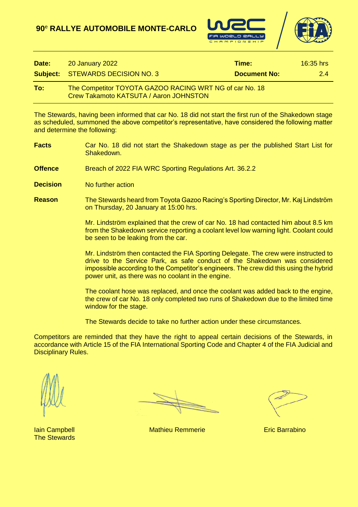



| Date: | <b>20 January 2022</b>                                                                                   | Time:        | $16:35$ hrs |
|-------|----------------------------------------------------------------------------------------------------------|--------------|-------------|
|       | <b>Subject: STEWARDS DECISION NO. 3</b>                                                                  | Document No: | 24          |
| To:   | The Competitor TOYOTA GAZOO RACING WRT NG of car No. 18<br><b>Crew Takamoto KATSUTA / Aaron JOHNSTON</b> |              |             |

The Stewards, having been informed that car No. 18 did not start the first run of the Shakedown stage as scheduled, summoned the above competitor's representative, have considered the following matter and determine the following:

- **Facts** Car No. 18 did not start the Shakedown stage as per the published Start List for Shakedown.
- **Offence** Breach of 2022 FIA WRC Sporting Regulations Art. 36.2.2
- **Decision** No further action
- **Reason** The Stewards heard from Toyota Gazoo Racing's Sporting Director, Mr. Kaj Lindström on Thursday, 20 January at 15:00 hrs.

Mr. Lindström explained that the crew of car No. 18 had contacted him about 8.5 km from the Shakedown service reporting a coolant level low warning light. Coolant could be seen to be leaking from the car.

Mr. Lindström then contacted the FIA Sporting Delegate. The crew were instructed to drive to the Service Park, as safe conduct of the Shakedown was considered impossible according to the Competitor's engineers. The crew did this using the hybrid power unit, as there was no coolant in the engine.

The coolant hose was replaced, and once the coolant was added back to the engine, the crew of car No. 18 only completed two runs of Shakedown due to the limited time window for the stage.

The Stewards decide to take no further action under these circumstances.

Competitors are reminded that they have the right to appeal certain decisions of the Stewards, in accordance with Article 15 of the FIA International Sporting Code and Chapter 4 of the FIA Judicial and Disciplinary Rules.

The Stewards

Iain Campbell Mathieu Remmerie Eric Barrabino